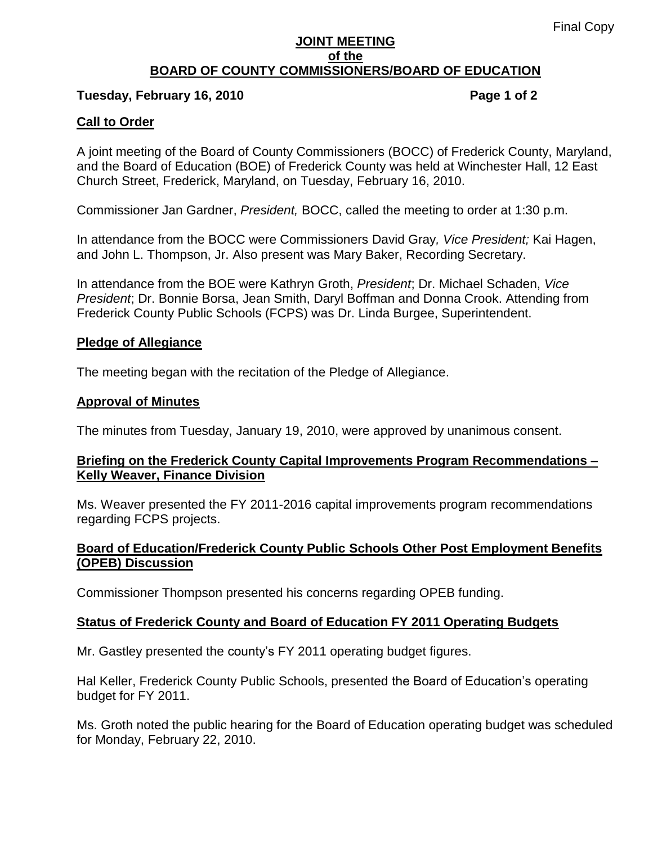#### **JOINT MEETING of the BOARD OF COUNTY COMMISSIONERS/BOARD OF EDUCATION**

#### **Tuesday, February 16, 2010 Page 1 of 2**

### **Call to Order**

A joint meeting of the Board of County Commissioners (BOCC) of Frederick County, Maryland, and the Board of Education (BOE) of Frederick County was held at Winchester Hall, 12 East Church Street, Frederick, Maryland, on Tuesday, February 16, 2010.

Commissioner Jan Gardner, *President,* BOCC, called the meeting to order at 1:30 p.m.

In attendance from the BOCC were Commissioners David Gray*, Vice President;* Kai Hagen, and John L. Thompson, Jr. Also present was Mary Baker, Recording Secretary.

In attendance from the BOE were Kathryn Groth, *President*; Dr. Michael Schaden, *Vice President*; Dr. Bonnie Borsa, Jean Smith, Daryl Boffman and Donna Crook. Attending from Frederick County Public Schools (FCPS) was Dr. Linda Burgee, Superintendent.

#### **Pledge of Allegiance**

The meeting began with the recitation of the Pledge of Allegiance.

#### **Approval of Minutes**

The minutes from Tuesday, January 19, 2010, were approved by unanimous consent.

#### **Briefing on the Frederick County Capital Improvements Program Recommendations – Kelly Weaver, Finance Division**

Ms. Weaver presented the FY 2011-2016 capital improvements program recommendations regarding FCPS projects.

## **Board of Education/Frederick County Public Schools Other Post Employment Benefits (OPEB) Discussion**

Commissioner Thompson presented his concerns regarding OPEB funding.

#### **Status of Frederick County and Board of Education FY 2011 Operating Budgets**

Mr. Gastley presented the county's FY 2011 operating budget figures.

Hal Keller, Frederick County Public Schools, presented the Board of Education's operating budget for FY 2011.

Ms. Groth noted the public hearing for the Board of Education operating budget was scheduled for Monday, February 22, 2010.